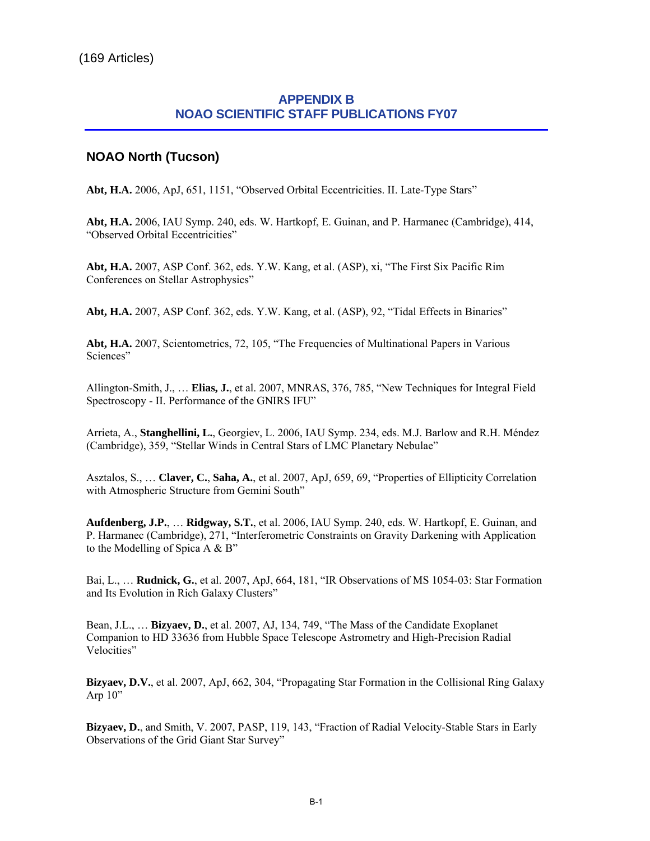## **APPENDIX B NOAO SCIENTIFIC STAFF PUBLICATIONS FY07**

## **NOAO North (Tucson)**

**Abt, H.A.** 2006, ApJ, 651, 1151, "Observed Orbital Eccentricities. II. Late-Type Stars"

**Abt, H.A.** 2006, IAU Symp. 240, eds. W. Hartkopf, E. Guinan, and P. Harmanec (Cambridge), 414, "Observed Orbital Eccentricities"

**Abt, H.A.** 2007, ASP Conf. 362, eds. Y.W. Kang, et al. (ASP), xi, "The First Six Pacific Rim Conferences on Stellar Astrophysics"

**Abt, H.A.** 2007, ASP Conf. 362, eds. Y.W. Kang, et al. (ASP), 92, "Tidal Effects in Binaries"

**Abt, H.A.** 2007, Scientometrics, 72, 105, "The Frequencies of Multinational Papers in Various Sciences"

Allington-Smith, J., … **Elias, J.**, et al. 2007, MNRAS, 376, 785, "New Techniques for Integral Field Spectroscopy - II. Performance of the GNIRS IFU"

Arrieta, A., **Stanghellini, L.**, Georgiev, L. 2006, IAU Symp. 234, eds. M.J. Barlow and R.H. Méndez (Cambridge), 359, "Stellar Winds in Central Stars of LMC Planetary Nebulae"

Asztalos, S., … **Claver, C.**, **Saha, A.**, et al. 2007, ApJ, 659, 69, "Properties of Ellipticity Correlation with Atmospheric Structure from Gemini South"

**Aufdenberg, J.P.**, … **Ridgway, S.T.**, et al. 2006, IAU Symp. 240, eds. W. Hartkopf, E. Guinan, and P. Harmanec (Cambridge), 271, "Interferometric Constraints on Gravity Darkening with Application to the Modelling of Spica A & B"

Bai, L., … **Rudnick, G.**, et al. 2007, ApJ, 664, 181, "IR Observations of MS 1054-03: Star Formation and Its Evolution in Rich Galaxy Clusters"

Bean, J.L., … **Bizyaev, D.**, et al. 2007, AJ, 134, 749, "The Mass of the Candidate Exoplanet Companion to HD 33636 from Hubble Space Telescope Astrometry and High-Precision Radial Velocities"

**Bizyaev, D.V.**, et al. 2007, ApJ, 662, 304, "Propagating Star Formation in the Collisional Ring Galaxy Arp  $10"$ 

**Bizyaev, D.**, and Smith, V. 2007, PASP, 119, 143, "Fraction of Radial Velocity-Stable Stars in Early Observations of the Grid Giant Star Survey"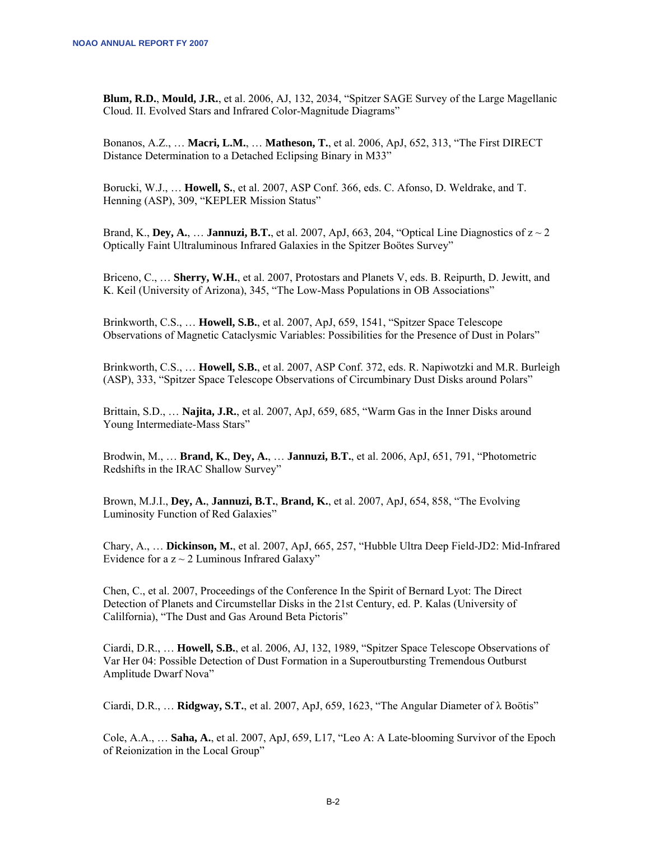**Blum, R.D.**, **Mould, J.R.**, et al. 2006, AJ, 132, 2034, "Spitzer SAGE Survey of the Large Magellanic Cloud. II. Evolved Stars and Infrared Color-Magnitude Diagrams"

Bonanos, A.Z., … **Macri, L.M.**, … **Matheson, T.**, et al. 2006, ApJ, 652, 313, "The First DIRECT Distance Determination to a Detached Eclipsing Binary in M33"

Borucki, W.J., … **Howell, S.**, et al. 2007, ASP Conf. 366, eds. C. Afonso, D. Weldrake, and T. Henning (ASP), 309, "KEPLER Mission Status"

Brand, K., **Dey, A.**, ... **Jannuzi, B.T.**, et al. 2007, ApJ, 663, 204, "Optical Line Diagnostics of  $z \sim 2$ Optically Faint Ultraluminous Infrared Galaxies in the Spitzer Boötes Survey"

Briceno, C., … **Sherry, W.H.**, et al. 2007, Protostars and Planets V, eds. B. Reipurth, D. Jewitt, and K. Keil (University of Arizona), 345, "The Low-Mass Populations in OB Associations"

Brinkworth, C.S., … **Howell, S.B.**, et al. 2007, ApJ, 659, 1541, "Spitzer Space Telescope Observations of Magnetic Cataclysmic Variables: Possibilities for the Presence of Dust in Polars"

Brinkworth, C.S., … **Howell, S.B.**, et al. 2007, ASP Conf. 372, eds. R. Napiwotzki and M.R. Burleigh (ASP), 333, "Spitzer Space Telescope Observations of Circumbinary Dust Disks around Polars"

Brittain, S.D., … **Najita, J.R.**, et al. 2007, ApJ, 659, 685, "Warm Gas in the Inner Disks around Young Intermediate-Mass Stars"

Brodwin, M., … **Brand, K.**, **Dey, A.**, … **Jannuzi, B.T.**, et al. 2006, ApJ, 651, 791, "Photometric Redshifts in the IRAC Shallow Survey"

Brown, M.J.I., **Dey, A.**, **Jannuzi, B.T.**, **Brand, K.**, et al. 2007, ApJ, 654, 858, "The Evolving Luminosity Function of Red Galaxies"

Chary, A., … **Dickinson, M.**, et al. 2007, ApJ, 665, 257, "Hubble Ultra Deep Field-JD2: Mid-Infrared Evidence for a  $z \sim 2$  Luminous Infrared Galaxy"

Chen, C., et al. 2007, Proceedings of the Conference In the Spirit of Bernard Lyot: The Direct Detection of Planets and Circumstellar Disks in the 21st Century, ed. P. Kalas (University of Calilfornia), "The Dust and Gas Around Beta Pictoris"

Ciardi, D.R., … **Howell, S.B.**, et al. 2006, AJ, 132, 1989, "Spitzer Space Telescope Observations of Var Her 04: Possible Detection of Dust Formation in a Superoutbursting Tremendous Outburst Amplitude Dwarf Nova"

Ciardi, D.R., … **Ridgway, S.T.**, et al. 2007, ApJ, 659, 1623, "The Angular Diameter of λ Boötis"

Cole, A.A., … **Saha, A.**, et al. 2007, ApJ, 659, L17, "Leo A: A Late-blooming Survivor of the Epoch of Reionization in the Local Group"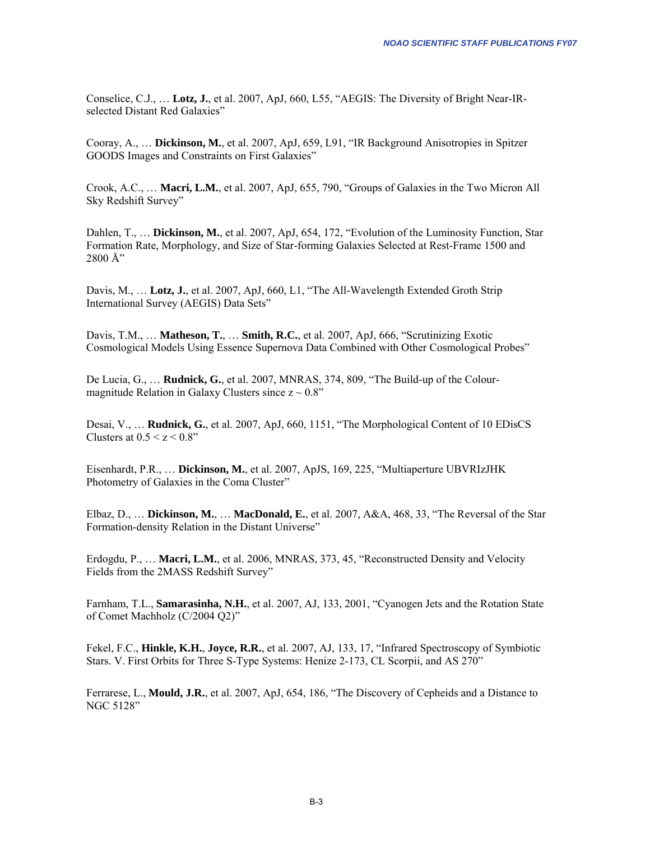Conselice, C.J., … **Lotz, J.**, et al. 2007, ApJ, 660, L55, "AEGIS: The Diversity of Bright Near-IRselected Distant Red Galaxies"

Cooray, A., … **Dickinson, M.**, et al. 2007, ApJ, 659, L91, "IR Background Anisotropies in Spitzer GOODS Images and Constraints on First Galaxies"

Crook, A.C., … **Macri, L.M.**, et al. 2007, ApJ, 655, 790, "Groups of Galaxies in the Two Micron All Sky Redshift Survey"

Dahlen, T., … **Dickinson, M.**, et al. 2007, ApJ, 654, 172, "Evolution of the Luminosity Function, Star Formation Rate, Morphology, and Size of Star-forming Galaxies Selected at Rest-Frame 1500 and  $2800$  Å"

Davis, M., … **Lotz, J.**, et al. 2007, ApJ, 660, L1, "The All-Wavelength Extended Groth Strip International Survey (AEGIS) Data Sets"

Davis, T.M., … **Matheson, T.**, … **Smith, R.C.**, et al. 2007, ApJ, 666, "Scrutinizing Exotic Cosmological Models Using Essence Supernova Data Combined with Other Cosmological Probes"

De Lucia, G., … **Rudnick, G.**, et al. 2007, MNRAS, 374, 809, "The Build-up of the Colourmagnitude Relation in Galaxy Clusters since  $z \sim 0.8$ "

Desai, V., … **Rudnick, G.**, et al. 2007, ApJ, 660, 1151, "The Morphological Content of 10 EDisCS Clusters at  $0.5 \le z \le 0.8$ "

Eisenhardt, P.R., … **Dickinson, M.**, et al. 2007, ApJS, 169, 225, "Multiaperture UBVRIzJHK Photometry of Galaxies in the Coma Cluster"

Elbaz, D., … **Dickinson, M.**, … **MacDonald, E.**, et al. 2007, A&A, 468, 33, "The Reversal of the Star Formation-density Relation in the Distant Universe"

Erdogdu, P., … **Macri, L.M.**, et al. 2006, MNRAS, 373, 45, "Reconstructed Density and Velocity Fields from the 2MASS Redshift Survey"

Farnham, T.L., **Samarasinha, N.H.**, et al. 2007, AJ, 133, 2001, "Cyanogen Jets and the Rotation State of Comet Machholz (C/2004 Q2)"

Fekel, F.C., **Hinkle, K.H.**, **Joyce, R.R.**, et al. 2007, AJ, 133, 17, "Infrared Spectroscopy of Symbiotic Stars. V. First Orbits for Three S-Type Systems: Henize 2-173, CL Scorpii, and AS 270"

Ferrarese, L., **Mould, J.R.**, et al. 2007, ApJ, 654, 186, "The Discovery of Cepheids and a Distance to NGC 5128"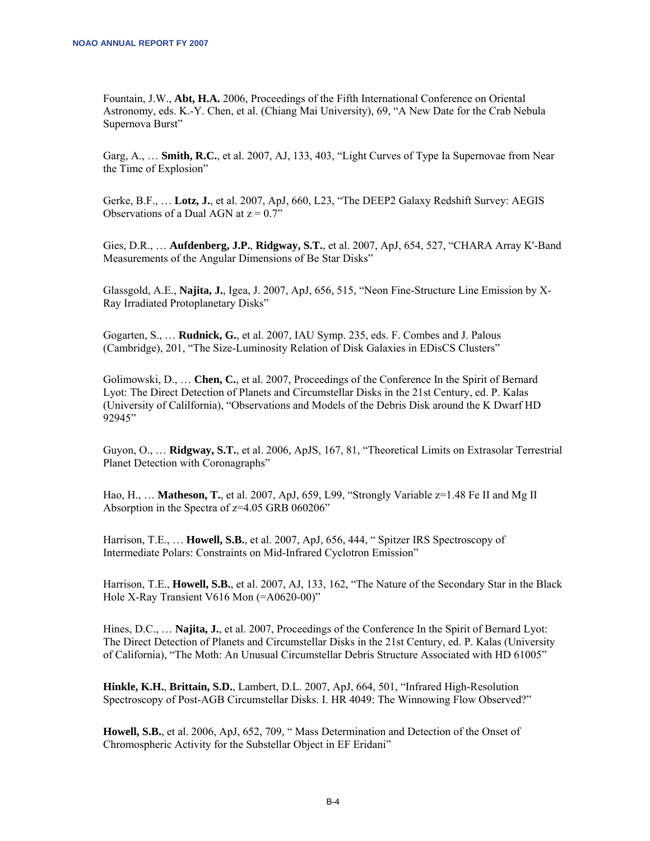Fountain, J.W., **Abt, H.A.** 2006, Proceedings of the Fifth International Conference on Oriental Astronomy, eds. K.-Y. Chen, et al. (Chiang Mai University), 69, "A New Date for the Crab Nebula Supernova Burst"

Garg, A., … **Smith, R.C.**, et al. 2007, AJ, 133, 403, "Light Curves of Type Ia Supernovae from Near the Time of Explosion"

Gerke, B.F., … **Lotz, J.**, et al. 2007, ApJ, 660, L23, "The DEEP2 Galaxy Redshift Survey: AEGIS Observations of a Dual AGN at  $z = 0.7$ "

Gies, D.R., … **Aufdenberg, J.P.**, **Ridgway, S.T.**, et al. 2007, ApJ, 654, 527, "CHARA Array K'-Band Measurements of the Angular Dimensions of Be Star Disks"

Glassgold, A.E., **Najita, J.**, Igea, J. 2007, ApJ, 656, 515, "Neon Fine-Structure Line Emission by X-Ray Irradiated Protoplanetary Disks"

Gogarten, S., … **Rudnick, G.**, et al. 2007, IAU Symp. 235, eds. F. Combes and J. Palous (Cambridge), 201, "The Size-Luminosity Relation of Disk Galaxies in EDisCS Clusters"

Golimowski, D., … **Chen, C.**, et al. 2007, Proceedings of the Conference In the Spirit of Bernard Lyot: The Direct Detection of Planets and Circumstellar Disks in the 21st Century, ed. P. Kalas (University of Calilfornia), "Observations and Models of the Debris Disk around the K Dwarf HD 92945"

Guyon, O., … **Ridgway, S.T.**, et al. 2006, ApJS, 167, 81, "Theoretical Limits on Extrasolar Terrestrial Planet Detection with Coronagraphs"

Hao, H., … **Matheson, T.**, et al. 2007, ApJ, 659, L99, "Strongly Variable z=1.48 Fe II and Mg II Absorption in the Spectra of z=4.05 GRB 060206"

Harrison, T.E., … **Howell, S.B.**, et al. 2007, ApJ, 656, 444, " Spitzer IRS Spectroscopy of Intermediate Polars: Constraints on Mid-Infrared Cyclotron Emission"

Harrison, T.E., **Howell, S.B.**, et al. 2007, AJ, 133, 162, "The Nature of the Secondary Star in the Black Hole X-Ray Transient V616 Mon (=A0620-00)"

Hines, D.C., … **Najita, J.**, et al. 2007, Proceedings of the Conference In the Spirit of Bernard Lyot: The Direct Detection of Planets and Circumstellar Disks in the 21st Century, ed. P. Kalas (University of California), "The Moth: An Unusual Circumstellar Debris Structure Associated with HD 61005"

**Hinkle, K.H.**, **Brittain, S.D.**, Lambert, D.L. 2007, ApJ, 664, 501, "Infrared High-Resolution Spectroscopy of Post-AGB Circumstellar Disks. I. HR 4049: The Winnowing Flow Observed?"

**Howell, S.B.**, et al. 2006, ApJ, 652, 709, " Mass Determination and Detection of the Onset of Chromospheric Activity for the Substellar Object in EF Eridani"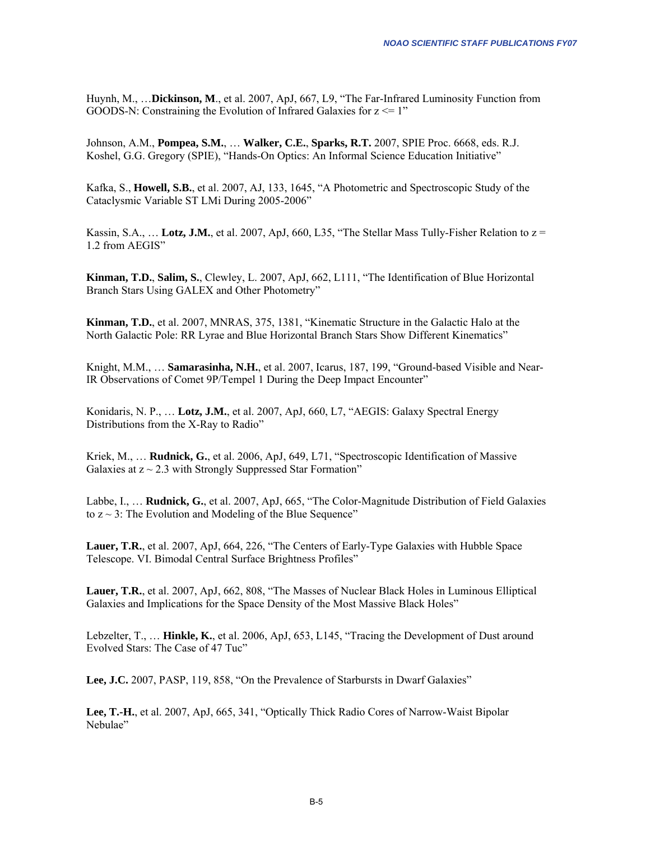Huynh, M., …**Dickinson, M**., et al. 2007, ApJ, 667, L9, "The Far-Infrared Luminosity Function from GOODS-N: Constraining the Evolution of Infrared Galaxies for  $z \le 1$ "

Johnson, A.M., **Pompea, S.M.**, … **Walker, C.E.**, **Sparks, R.T.** 2007, SPIE Proc. 6668, eds. R.J. Koshel, G.G. Gregory (SPIE), "Hands-On Optics: An Informal Science Education Initiative"

Kafka, S., **Howell, S.B.**, et al. 2007, AJ, 133, 1645, "A Photometric and Spectroscopic Study of the Cataclysmic Variable ST LMi During 2005-2006"

Kassin, S.A., … **Lotz, J.M.**, et al. 2007, ApJ, 660, L35, "The Stellar Mass Tully-Fisher Relation to z = 1.2 from AEGIS"

**Kinman, T.D.**, **Salim, S.**, Clewley, L. 2007, ApJ, 662, L111, "The Identification of Blue Horizontal Branch Stars Using GALEX and Other Photometry"

**Kinman, T.D.**, et al. 2007, MNRAS, 375, 1381, "Kinematic Structure in the Galactic Halo at the North Galactic Pole: RR Lyrae and Blue Horizontal Branch Stars Show Different Kinematics"

Knight, M.M., … **Samarasinha, N.H.**, et al. 2007, Icarus, 187, 199, "Ground-based Visible and Near-IR Observations of Comet 9P/Tempel 1 During the Deep Impact Encounter"

Konidaris, N. P., … **Lotz, J.M.**, et al. 2007, ApJ, 660, L7, "AEGIS: Galaxy Spectral Energy Distributions from the X-Ray to Radio"

Kriek, M., … **Rudnick, G.**, et al. 2006, ApJ, 649, L71, "Spectroscopic Identification of Massive Galaxies at  $z \sim 2.3$  with Strongly Suppressed Star Formation"

Labbe, I., … **Rudnick, G.**, et al. 2007, ApJ, 665, "The Color-Magnitude Distribution of Field Galaxies to  $z \sim 3$ : The Evolution and Modeling of the Blue Sequence"

**Lauer, T.R.**, et al. 2007, ApJ, 664, 226, "The Centers of Early-Type Galaxies with Hubble Space Telescope. VI. Bimodal Central Surface Brightness Profiles"

**Lauer, T.R.**, et al. 2007, ApJ, 662, 808, "The Masses of Nuclear Black Holes in Luminous Elliptical Galaxies and Implications for the Space Density of the Most Massive Black Holes"

Lebzelter, T., … **Hinkle, K.**, et al. 2006, ApJ, 653, L145, "Tracing the Development of Dust around Evolved Stars: The Case of 47 Tuc"

**Lee, J.C.** 2007, PASP, 119, 858, "On the Prevalence of Starbursts in Dwarf Galaxies"

**Lee, T.-H.**, et al. 2007, ApJ, 665, 341, "Optically Thick Radio Cores of Narrow-Waist Bipolar Nebulae"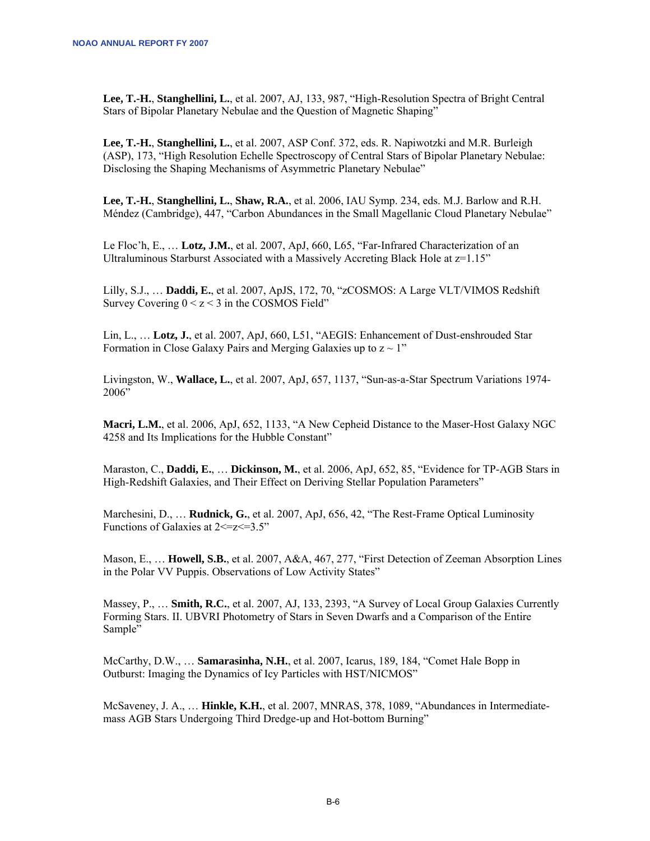**Lee, T.-H.**, **Stanghellini, L.**, et al. 2007, AJ, 133, 987, "High-Resolution Spectra of Bright Central Stars of Bipolar Planetary Nebulae and the Question of Magnetic Shaping"

**Lee, T.-H.**, **Stanghellini, L.**, et al. 2007, ASP Conf. 372, eds. R. Napiwotzki and M.R. Burleigh (ASP), 173, "High Resolution Echelle Spectroscopy of Central Stars of Bipolar Planetary Nebulae: Disclosing the Shaping Mechanisms of Asymmetric Planetary Nebulae"

**Lee, T.-H.**, **Stanghellini, L.**, **Shaw, R.A.**, et al. 2006, IAU Symp. 234, eds. M.J. Barlow and R.H. Méndez (Cambridge), 447, "Carbon Abundances in the Small Magellanic Cloud Planetary Nebulae"

Le Floc'h, E., … **Lotz, J.M.**, et al. 2007, ApJ, 660, L65, "Far-Infrared Characterization of an Ultraluminous Starburst Associated with a Massively Accreting Black Hole at z=1.15"

Lilly, S.J., … **Daddi, E.**, et al. 2007, ApJS, 172, 70, "zCOSMOS: A Large VLT/VIMOS Redshift Survey Covering  $0 < z < 3$  in the COSMOS Field"

Lin, L., … **Lotz, J.**, et al. 2007, ApJ, 660, L51, "AEGIS: Enhancement of Dust-enshrouded Star Formation in Close Galaxy Pairs and Merging Galaxies up to  $z \sim 1$ "

Livingston, W., **Wallace, L.**, et al. 2007, ApJ, 657, 1137, "Sun-as-a-Star Spectrum Variations 1974- 2006"

**Macri, L.M.**, et al. 2006, ApJ, 652, 1133, "A New Cepheid Distance to the Maser-Host Galaxy NGC 4258 and Its Implications for the Hubble Constant"

Maraston, C., **Daddi, E.**, … **Dickinson, M.**, et al. 2006, ApJ, 652, 85, "Evidence for TP-AGB Stars in High-Redshift Galaxies, and Their Effect on Deriving Stellar Population Parameters"

Marchesini, D., … **Rudnick, G.**, et al. 2007, ApJ, 656, 42, "The Rest-Frame Optical Luminosity Functions of Galaxies at  $2 \le z \le 3.5$ "

Mason, E., … **Howell, S.B.**, et al. 2007, A&A, 467, 277, "First Detection of Zeeman Absorption Lines in the Polar VV Puppis. Observations of Low Activity States"

Massey, P., … **Smith, R.C.**, et al. 2007, AJ, 133, 2393, "A Survey of Local Group Galaxies Currently Forming Stars. II. UBVRI Photometry of Stars in Seven Dwarfs and a Comparison of the Entire Sample"

McCarthy, D.W., … **Samarasinha, N.H.**, et al. 2007, Icarus, 189, 184, "Comet Hale Bopp in Outburst: Imaging the Dynamics of Icy Particles with HST/NICMOS"

McSaveney, J. A., … **Hinkle, K.H.**, et al. 2007, MNRAS, 378, 1089, "Abundances in Intermediatemass AGB Stars Undergoing Third Dredge-up and Hot-bottom Burning"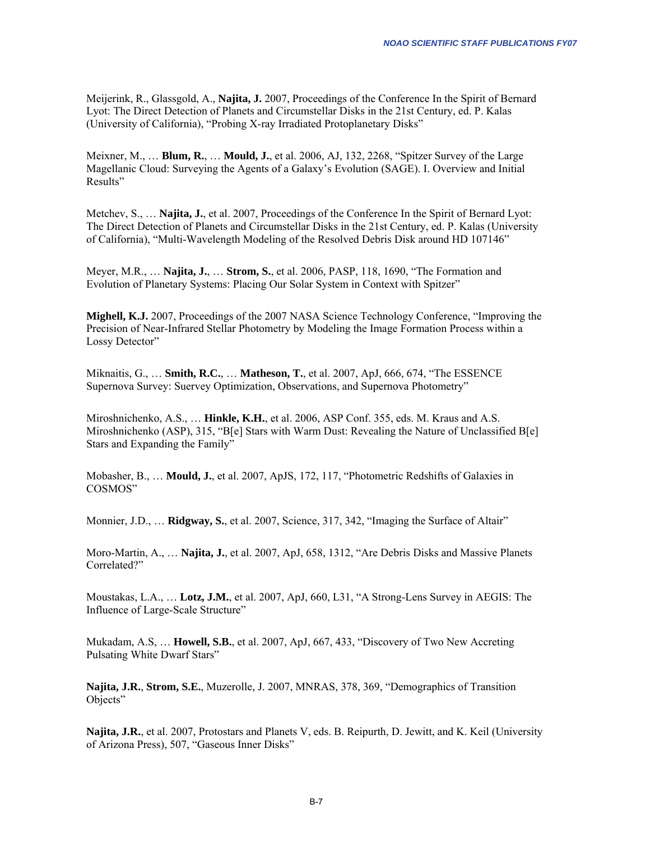Meijerink, R., Glassgold, A., **Najita, J.** 2007, Proceedings of the Conference In the Spirit of Bernard Lyot: The Direct Detection of Planets and Circumstellar Disks in the 21st Century, ed. P. Kalas (University of California), "Probing X-ray Irradiated Protoplanetary Disks"

Meixner, M., … **Blum, R.**, … **Mould, J.**, et al. 2006, AJ, 132, 2268, "Spitzer Survey of the Large Magellanic Cloud: Surveying the Agents of a Galaxy's Evolution (SAGE). I. Overview and Initial Results"

Metchev, S., … **Najita, J.**, et al. 2007, Proceedings of the Conference In the Spirit of Bernard Lyot: The Direct Detection of Planets and Circumstellar Disks in the 21st Century, ed. P. Kalas (University of California), "Multi-Wavelength Modeling of the Resolved Debris Disk around HD 107146"

Meyer, M.R., … **Najita, J.**, … **Strom, S.**, et al. 2006, PASP, 118, 1690, "The Formation and Evolution of Planetary Systems: Placing Our Solar System in Context with Spitzer"

**Mighell, K.J.** 2007, Proceedings of the 2007 NASA Science Technology Conference, "Improving the Precision of Near-Infrared Stellar Photometry by Modeling the Image Formation Process within a Lossy Detector"

Miknaitis, G., … **Smith, R.C.**, … **Matheson, T.**, et al. 2007, ApJ, 666, 674, "The ESSENCE Supernova Survey: Suervey Optimization, Observations, and Supernova Photometry"

Miroshnichenko, A.S., … **Hinkle, K.H.**, et al. 2006, ASP Conf. 355, eds. M. Kraus and A.S. Miroshnichenko (ASP), 315, "B[e] Stars with Warm Dust: Revealing the Nature of Unclassified B[e] Stars and Expanding the Family"

Mobasher, B., … **Mould, J.**, et al. 2007, ApJS, 172, 117, "Photometric Redshifts of Galaxies in COSMOS"

Monnier, J.D., … **Ridgway, S.**, et al. 2007, Science, 317, 342, "Imaging the Surface of Altair"

Moro-Martin, A., … **Najita, J.**, et al. 2007, ApJ, 658, 1312, "Are Debris Disks and Massive Planets Correlated?"

Moustakas, L.A., … **Lotz, J.M.**, et al. 2007, ApJ, 660, L31, "A Strong-Lens Survey in AEGIS: The Influence of Large-Scale Structure"

Mukadam, A.S, … **Howell, S.B.**, et al. 2007, ApJ, 667, 433, "Discovery of Two New Accreting Pulsating White Dwarf Stars"

**Najita, J.R.**, **Strom, S.E.**, Muzerolle, J. 2007, MNRAS, 378, 369, "Demographics of Transition Objects"

**Najita, J.R.**, et al. 2007, Protostars and Planets V, eds. B. Reipurth, D. Jewitt, and K. Keil (University of Arizona Press), 507, "Gaseous Inner Disks"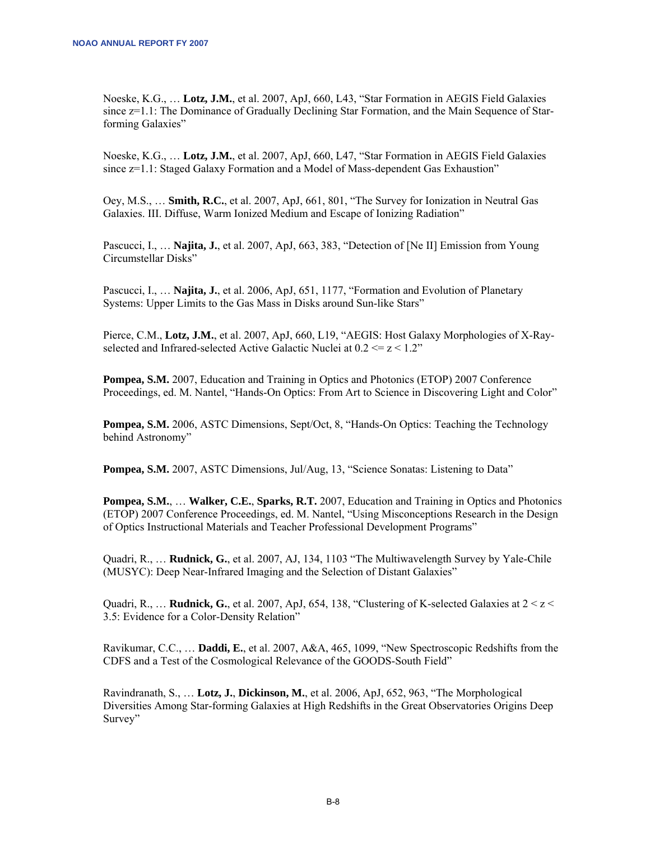Noeske, K.G., … **Lotz, J.M.**, et al. 2007, ApJ, 660, L43, "Star Formation in AEGIS Field Galaxies since  $z=1.1$ : The Dominance of Gradually Declining Star Formation, and the Main Sequence of Starforming Galaxies"

Noeske, K.G., … **Lotz, J.M.**, et al. 2007, ApJ, 660, L47, "Star Formation in AEGIS Field Galaxies since  $z=1.1$ : Staged Galaxy Formation and a Model of Mass-dependent Gas Exhaustion"

Oey, M.S., … **Smith, R.C.**, et al. 2007, ApJ, 661, 801, "The Survey for Ionization in Neutral Gas Galaxies. III. Diffuse, Warm Ionized Medium and Escape of Ionizing Radiation"

Pascucci, I., … **Najita, J.**, et al. 2007, ApJ, 663, 383, "Detection of [Ne II] Emission from Young Circumstellar Disks"

Pascucci, I., … **Najita, J.**, et al. 2006, ApJ, 651, 1177, "Formation and Evolution of Planetary Systems: Upper Limits to the Gas Mass in Disks around Sun-like Stars"

Pierce, C.M., **Lotz, J.M.**, et al. 2007, ApJ, 660, L19, "AEGIS: Host Galaxy Morphologies of X-Rayselected and Infrared-selected Active Galactic Nuclei at  $0.2 \le z \le 1.2$ "

**Pompea, S.M.** 2007, Education and Training in Optics and Photonics (ETOP) 2007 Conference Proceedings, ed. M. Nantel, "Hands-On Optics: From Art to Science in Discovering Light and Color"

**Pompea, S.M.** 2006, ASTC Dimensions, Sept/Oct, 8, "Hands-On Optics: Teaching the Technology behind Astronomy"

**Pompea, S.M.** 2007, ASTC Dimensions, Jul/Aug, 13, "Science Sonatas: Listening to Data"

**Pompea, S.M.**, … **Walker, C.E.**, **Sparks, R.T.** 2007, Education and Training in Optics and Photonics (ETOP) 2007 Conference Proceedings, ed. M. Nantel, "Using Misconceptions Research in the Design of Optics Instructional Materials and Teacher Professional Development Programs"

Quadri, R., … **Rudnick, G.**, et al. 2007, AJ, 134, 1103 "The Multiwavelength Survey by Yale-Chile (MUSYC): Deep Near-Infrared Imaging and the Selection of Distant Galaxies"

Quadri, R.,  $\ldots$  **Rudnick, G.**, et al. 2007, ApJ, 654, 138, "Clustering of K-selected Galaxies at  $2 < z <$ 3.5: Evidence for a Color-Density Relation"

Ravikumar, C.C., … **Daddi, E.**, et al. 2007, A&A, 465, 1099, "New Spectroscopic Redshifts from the CDFS and a Test of the Cosmological Relevance of the GOODS-South Field"

Ravindranath, S., … **Lotz, J.**, **Dickinson, M.**, et al. 2006, ApJ, 652, 963, "The Morphological Diversities Among Star-forming Galaxies at High Redshifts in the Great Observatories Origins Deep Survey"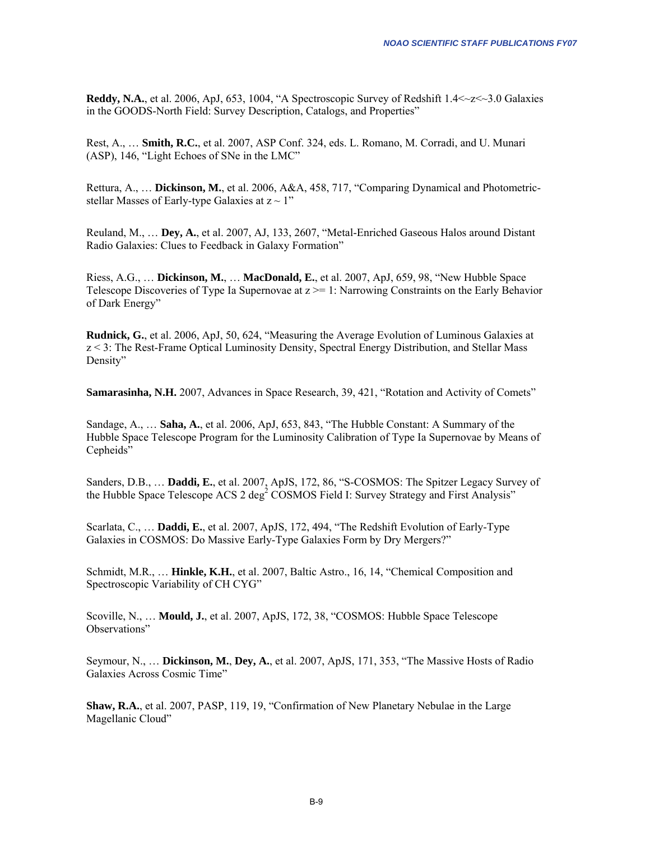**Reddy, N.A.,** et al. 2006, ApJ, 653, 1004, "A Spectroscopic Survey of Redshift  $1.4 < z < 3.0$  Galaxies in the GOODS-North Field: Survey Description, Catalogs, and Properties"

Rest, A., … **Smith, R.C.**, et al. 2007, ASP Conf. 324, eds. L. Romano, M. Corradi, and U. Munari (ASP), 146, "Light Echoes of SNe in the LMC"

Rettura, A., … **Dickinson, M.**, et al. 2006, A&A, 458, 717, "Comparing Dynamical and Photometricstellar Masses of Early-type Galaxies at  $z \sim 1$ "

Reuland, M., … **Dey, A.**, et al. 2007, AJ, 133, 2607, "Metal-Enriched Gaseous Halos around Distant Radio Galaxies: Clues to Feedback in Galaxy Formation"

Riess, A.G., … **Dickinson, M.**, … **MacDonald, E.**, et al. 2007, ApJ, 659, 98, "New Hubble Space Telescope Discoveries of Type Ia Supernovae at  $z \ge -1$ : Narrowing Constraints on the Early Behavior of Dark Energy"

**Rudnick, G.**, et al. 2006, ApJ, 50, 624, "Measuring the Average Evolution of Luminous Galaxies at z < 3: The Rest-Frame Optical Luminosity Density, Spectral Energy Distribution, and Stellar Mass Density"

**Samarasinha, N.H.** 2007, Advances in Space Research, 39, 421, "Rotation and Activity of Comets"

Sandage, A., … **Saha, A.**, et al. 2006, ApJ, 653, 843, "The Hubble Constant: A Summary of the Hubble Space Telescope Program for the Luminosity Calibration of Type Ia Supernovae by Means of Cepheids"

Sanders, D.B., … **Daddi, E.**, et al. 2007, ApJS, 172, 86, "S-COSMOS: The Spitzer Legacy Survey of the Hubble Space Telescope ACS 2 deg<sup>2</sup> COSMOS Field I: Survey Strategy and First Analysis"

Scarlata, C., … **Daddi, E.**, et al. 2007, ApJS, 172, 494, "The Redshift Evolution of Early-Type Galaxies in COSMOS: Do Massive Early-Type Galaxies Form by Dry Mergers?"

Schmidt, M.R., … **Hinkle, K.H.**, et al. 2007, Baltic Astro., 16, 14, "Chemical Composition and Spectroscopic Variability of CH CYG"

Scoville, N., … **Mould, J.**, et al. 2007, ApJS, 172, 38, "COSMOS: Hubble Space Telescope Observations"

Seymour, N., … **Dickinson, M.**, **Dey, A.**, et al. 2007, ApJS, 171, 353, "The Massive Hosts of Radio Galaxies Across Cosmic Time"

**Shaw, R.A.**, et al. 2007, PASP, 119, 19, "Confirmation of New Planetary Nebulae in the Large Magellanic Cloud"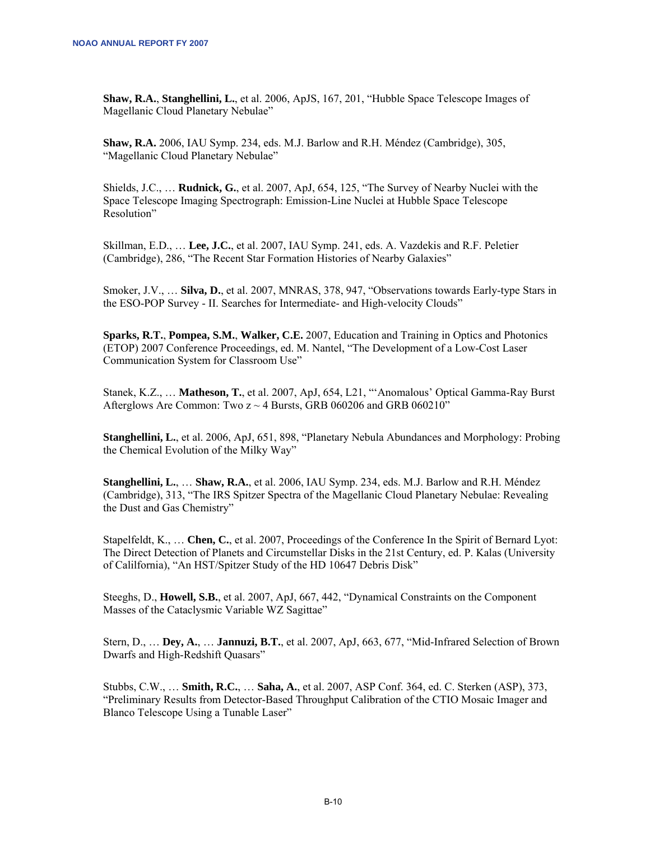**Shaw, R.A.**, **Stanghellini, L.**, et al. 2006, ApJS, 167, 201, "Hubble Space Telescope Images of Magellanic Cloud Planetary Nebulae"

**Shaw, R.A.** 2006, IAU Symp. 234, eds. M.J. Barlow and R.H. Méndez (Cambridge), 305, "Magellanic Cloud Planetary Nebulae"

Shields, J.C., … **Rudnick, G.**, et al. 2007, ApJ, 654, 125, "The Survey of Nearby Nuclei with the Space Telescope Imaging Spectrograph: Emission-Line Nuclei at Hubble Space Telescope Resolution"

Skillman, E.D., … **Lee, J.C.**, et al. 2007, IAU Symp. 241, eds. A. Vazdekis and R.F. Peletier (Cambridge), 286, "The Recent Star Formation Histories of Nearby Galaxies"

Smoker, J.V., … **Silva, D.**, et al. 2007, MNRAS, 378, 947, "Observations towards Early-type Stars in the ESO-POP Survey - II. Searches for Intermediate- and High-velocity Clouds"

**Sparks, R.T.**, **Pompea, S.M.**, **Walker, C.E.** 2007, Education and Training in Optics and Photonics (ETOP) 2007 Conference Proceedings, ed. M. Nantel, "The Development of a Low-Cost Laser Communication System for Classroom Use"

Stanek, K.Z., … **Matheson, T.**, et al. 2007, ApJ, 654, L21, "'Anomalous' Optical Gamma-Ray Burst Afterglows Are Common: Two  $z \sim 4$  Bursts, GRB 060206 and GRB 060210"

**Stanghellini, L.**, et al. 2006, ApJ, 651, 898, "Planetary Nebula Abundances and Morphology: Probing the Chemical Evolution of the Milky Way"

**Stanghellini, L.**, … **Shaw, R.A.**, et al. 2006, IAU Symp. 234, eds. M.J. Barlow and R.H. Méndez (Cambridge), 313, "The IRS Spitzer Spectra of the Magellanic Cloud Planetary Nebulae: Revealing the Dust and Gas Chemistry"

Stapelfeldt, K., … **Chen, C.**, et al. 2007, Proceedings of the Conference In the Spirit of Bernard Lyot: The Direct Detection of Planets and Circumstellar Disks in the 21st Century, ed. P. Kalas (University of Calilfornia), "An HST/Spitzer Study of the HD 10647 Debris Disk"

Steeghs, D., **Howell, S.B.**, et al. 2007, ApJ, 667, 442, "Dynamical Constraints on the Component Masses of the Cataclysmic Variable WZ Sagittae"

Stern, D., … **Dey, A.**, … **Jannuzi, B.T.**, et al. 2007, ApJ, 663, 677, "Mid-Infrared Selection of Brown Dwarfs and High-Redshift Quasars"

Stubbs, C.W., … **Smith, R.C.**, … **Saha, A.**, et al. 2007, ASP Conf. 364, ed. C. Sterken (ASP), 373, "Preliminary Results from Detector-Based Throughput Calibration of the CTIO Mosaic Imager and Blanco Telescope Using a Tunable Laser"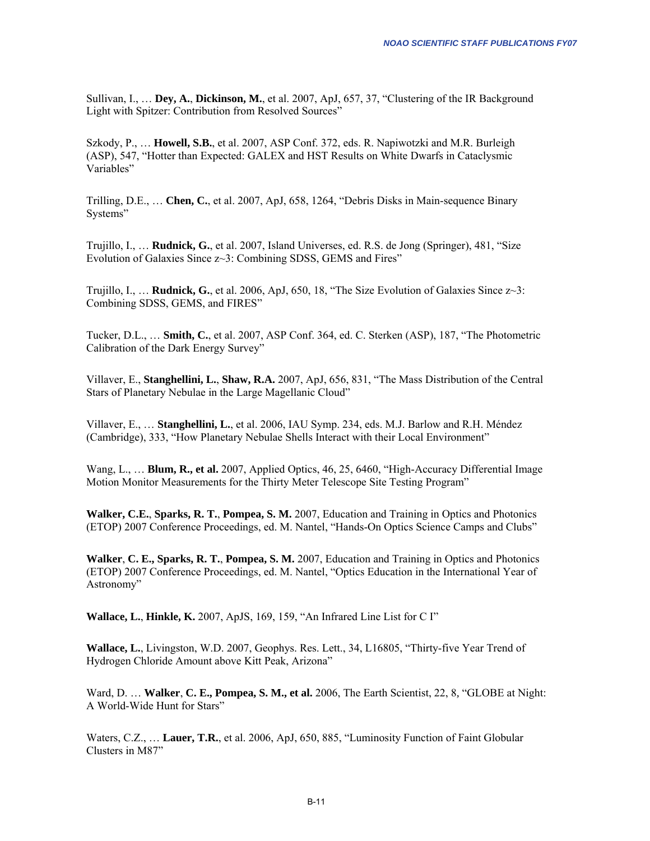Sullivan, I., … **Dey, A.**, **Dickinson, M.**, et al. 2007, ApJ, 657, 37, "Clustering of the IR Background Light with Spitzer: Contribution from Resolved Sources"

Szkody, P., … **Howell, S.B.**, et al. 2007, ASP Conf. 372, eds. R. Napiwotzki and M.R. Burleigh (ASP), 547, "Hotter than Expected: GALEX and HST Results on White Dwarfs in Cataclysmic Variables"

Trilling, D.E., … **Chen, C.**, et al. 2007, ApJ, 658, 1264, "Debris Disks in Main-sequence Binary Systems"

Trujillo, I., … **Rudnick, G.**, et al. 2007, Island Universes, ed. R.S. de Jong (Springer), 481, "Size Evolution of Galaxies Since z~3: Combining SDSS, GEMS and Fires"

Trujillo, I., … **Rudnick, G.**, et al. 2006, ApJ, 650, 18, "The Size Evolution of Galaxies Since z~3: Combining SDSS, GEMS, and FIRES"

Tucker, D.L., … **Smith, C.**, et al. 2007, ASP Conf. 364, ed. C. Sterken (ASP), 187, "The Photometric Calibration of the Dark Energy Survey"

Villaver, E., **Stanghellini, L.**, **Shaw, R.A.** 2007, ApJ, 656, 831, "The Mass Distribution of the Central Stars of Planetary Nebulae in the Large Magellanic Cloud"

Villaver, E., … **Stanghellini, L.**, et al. 2006, IAU Symp. 234, eds. M.J. Barlow and R.H. Méndez (Cambridge), 333, "How Planetary Nebulae Shells Interact with their Local Environment"

Wang, L., … **Blum, R., et al.** 2007, Applied Optics, 46, 25, 6460, "High-Accuracy Differential Image Motion Monitor Measurements for the Thirty Meter Telescope Site Testing Program"

**Walker, C.E.**, **Sparks, R. T.**, **Pompea, S. M.** 2007, Education and Training in Optics and Photonics (ETOP) 2007 Conference Proceedings, ed. M. Nantel, "Hands-On Optics Science Camps and Clubs"

**Walker**, **C. E., Sparks, R. T.**, **Pompea, S. M.** 2007, Education and Training in Optics and Photonics (ETOP) 2007 Conference Proceedings, ed. M. Nantel, "Optics Education in the International Year of Astronomy"

**Wallace, L.**, **Hinkle, K.** 2007, ApJS, 169, 159, "An Infrared Line List for C I"

**Wallace, L.**, Livingston, W.D. 2007, Geophys. Res. Lett., 34, L16805, "Thirty-five Year Trend of Hydrogen Chloride Amount above Kitt Peak, Arizona"

Ward, D. … **Walker**, **C. E., Pompea, S. M., et al.** 2006, The Earth Scientist, 22, 8*,* "GLOBE at Night: A World-Wide Hunt for Stars"

Waters, C.Z., … **Lauer, T.R.**, et al. 2006, ApJ, 650, 885, "Luminosity Function of Faint Globular Clusters in M87"